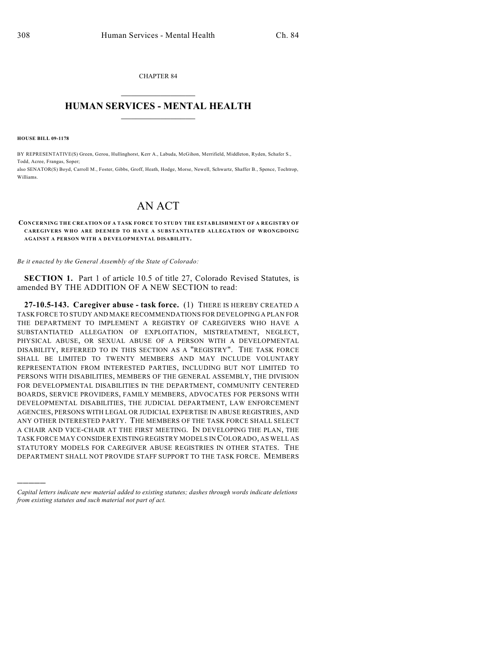CHAPTER 84  $\overline{\phantom{a}}$  . The set of the set of the set of the set of the set of the set of the set of the set of the set of the set of the set of the set of the set of the set of the set of the set of the set of the set of the set o

## **HUMAN SERVICES - MENTAL HEALTH**  $\_$   $\_$   $\_$   $\_$   $\_$   $\_$   $\_$   $\_$   $\_$

**HOUSE BILL 09-1178**

)))))

BY REPRESENTATIVE(S) Green, Gerou, Hullinghorst, Kerr A., Labuda, McGihon, Merrifield, Middleton, Ryden, Schafer S., Todd, Acree, Frangas, Soper; also SENATOR(S) Boyd, Carroll M., Foster, Gibbs, Groff, Heath, Hodge, Morse, Newell, Schwartz, Shaffer B., Spence, Tochtrop,

Williams.

## AN ACT

## **CONCERNING THE CREATION OF A TASK FORCE TO STUDY THE ESTABLISHMENT OF A REGISTRY OF CAREGIVERS WHO ARE DEEMED TO HAVE A SUBSTANTIATED ALLEGATION OF WRONGDOING AGAINST A PERSON WITH A DEVELOPMENTAL DISABILITY.**

*Be it enacted by the General Assembly of the State of Colorado:*

**SECTION 1.** Part 1 of article 10.5 of title 27, Colorado Revised Statutes, is amended BY THE ADDITION OF A NEW SECTION to read:

**27-10.5-143. Caregiver abuse - task force.** (1) THERE IS HEREBY CREATED A TASK FORCE TO STUDY AND MAKE RECOMMENDATIONS FOR DEVELOPING A PLAN FOR THE DEPARTMENT TO IMPLEMENT A REGISTRY OF CAREGIVERS WHO HAVE A SUBSTANTIATED ALLEGATION OF EXPLOITATION, MISTREATMENT, NEGLECT, PHYSICAL ABUSE, OR SEXUAL ABUSE OF A PERSON WITH A DEVELOPMENTAL DISABILITY, REFERRED TO IN THIS SECTION AS A "REGISTRY". THE TASK FORCE SHALL BE LIMITED TO TWENTY MEMBERS AND MAY INCLUDE VOLUNTARY REPRESENTATION FROM INTERESTED PARTIES, INCLUDING BUT NOT LIMITED TO PERSONS WITH DISABILITIES, MEMBERS OF THE GENERAL ASSEMBLY, THE DIVISION FOR DEVELOPMENTAL DISABILITIES IN THE DEPARTMENT, COMMUNITY CENTERED BOARDS, SERVICE PROVIDERS, FAMILY MEMBERS, ADVOCATES FOR PERSONS WITH DEVELOPMENTAL DISABILITIES, THE JUDICIAL DEPARTMENT, LAW ENFORCEMENT AGENCIES, PERSONS WITH LEGAL OR JUDICIAL EXPERTISE IN ABUSE REGISTRIES, AND ANY OTHER INTERESTED PARTY. THE MEMBERS OF THE TASK FORCE SHALL SELECT A CHAIR AND VICE-CHAIR AT THE FIRST MEETING. IN DEVELOPING THE PLAN, THE TASK FORCE MAY CONSIDER EXISTING REGISTRY MODELS IN COLORADO, AS WELL AS STATUTORY MODELS FOR CAREGIVER ABUSE REGISTRIES IN OTHER STATES. THE DEPARTMENT SHALL NOT PROVIDE STAFF SUPPORT TO THE TASK FORCE. MEMBERS

*Capital letters indicate new material added to existing statutes; dashes through words indicate deletions from existing statutes and such material not part of act.*